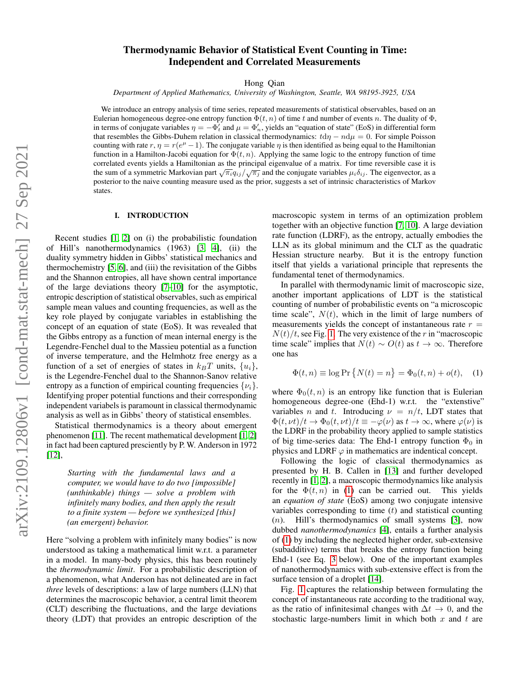# Thermodynamic Behavior of Statistical Event Counting in Time: Independent and Correlated Measurements

Hong Qian

*Department of Applied Mathematics, University of Washington, Seattle, WA 98195-3925, USA*

We introduce an entropy analysis of time series, repeated measurements of statistical observables, based on an Eulerian homogeneous degree-one entropy function  $\Phi(t, n)$  of time t and number of events n. The duality of  $\Phi$ , in terms of conjugate variables  $\eta = -\Phi'_t$  and  $\mu = \Phi'_t$ , yields an "equation of state" (EoS) in differential form that resembles the Gibbs-Duhem relation in classical thermodynamics:  $\frac{d\eta - n d\mu}{= 0}$ . For simple Poisson counting with rate  $r, \eta = r(e^{\mu} - 1)$ . The conjugate variable  $\eta$  is then identified as being equal to the Hamiltonian function in a Hamilton-Jacobi equation for  $\Phi(t, n)$ . Applying the same logic to the entropy function of time correlated events yields a Hamiltonian as the principal eigenvalue of a matrix. For time reversible case it is the sum of a symmetric Markovian part  $\sqrt{\pi_i}q_{ij}/\sqrt{\pi_j}$  and the conjugate variables  $\mu_i\delta_{ij}$ . The eigenvector, as a posterior to the naive counting measure used as the prior, suggests a set of intrinsic characteristics of Markov states.

## I. INTRODUCTION

Recent studies [\[1,](#page-7-0) [2\]](#page-7-1) on (i) the probabilistic foundation of Hill's nanothermodynamics (1963) [\[3,](#page-7-2) [4\]](#page-7-3), (ii) the duality symmetry hidden in Gibbs' statistical mechanics and thermochemistry [\[5,](#page-7-4) [6\]](#page-7-5), and (iii) the revisitation of the Gibbs and the Shannon entropies, all have shown central importance of the large deviations theory [\[7–](#page-7-6)[10\]](#page-7-7) for the asymptotic, entropic description of statistical observables, such as empirical sample mean values and counting frequencies, as well as the key role played by conjugate variables in establishing the concept of an equation of state (EoS). It was revealed that the Gibbs entropy as a function of mean internal energy is the Legendre-Fenchel dual to the Massieu potential as a function of inverse temperature, and the Helmhotz free energy as a function of a set of energies of states in  $k_BT$  units,  $\{u_i\}$ , is the Legendre-Fenchel dual to the Shannon-Sanov relative entropy as a function of empirical counting frequencies  $\{\nu_i\}$ . Identifying proper potential functions and their corresponding independent variabels is paramount in classical thermodynamic analysis as well as in Gibbs' theory of statistical ensembles.

Statistical thermodynamics is a theory about emergent phenomenon [\[11\]](#page-7-8). The recent mathematical development [\[1,](#page-7-0) [2\]](#page-7-1) in fact had been captured presciently by P. W. Anderson in 1972 [\[12\]](#page-7-9),

*Starting with the fundamental laws and a computer, we would have to do two [impossible] (unthinkable) things — solve a problem with infinitely many bodies, and then apply the result to a finite system — before we synthesized [this] (an emergent) behavior.*

Here "solving a problem with infinitely many bodies" is now understood as taking a mathematical limit w.r.t. a parameter in a model. In many-body physics, this has been routinely the *thermodynamic limit*. For a probabilistic description of a phenomenon, what Anderson has not delineated are in fact *three* levels of descriptions: a law of large numbers (LLN) that determines the macroscopic behavior, a central limit theorem (CLT) describing the fluctuations, and the large deviations theory (LDT) that provides an entropic description of the macroscopic system in terms of an optimization problem together with an objective function [\[7,](#page-7-6) [10\]](#page-7-7). A large deviation rate function (LDRF), as the entropy, actually embodies the LLN as its global minimum and the CLT as the quadratic Hessian structure nearby. But it is the entropy function itself that yields a variational principle that represents the fundamental tenet of thermodynamics.

In parallel with thermodynamic limit of macroscopic size, another important applications of LDT is the statistical counting of number of probabilistic events on "a microscopic time scale",  $N(t)$ , which in the limit of large numbers of measurements yields the concept of instantaneous rate  $r =$  $N(t)/t$ , see Fig. [1.](#page-1-0) The very existence of the r in "macroscopic time scale" implies that  $N(t) \sim O(t)$  as  $t \to \infty$ . Therefore one has

<span id="page-0-0"></span>
$$
\Phi(t, n) \equiv \log \Pr \{ N(t) = n \} = \Phi_0(t, n) + o(t), \quad (1)
$$

where  $\Phi_0(t, n)$  is an entropy like function that is Eulerian homogeneous degree-one (Ehd-1) w.r.t. the "extenstive" variables *n* and *t*. Introducing  $\nu = n/t$ , LDT states that  $\Phi(t,\nu t)/t \to \Phi_0(t,\nu t)/t \equiv -\varphi(\nu)$  as  $t \to \infty$ , where  $\varphi(\nu)$  is the LDRF in the probability theory applied to sample statistics of big time-series data: The Ehd-1 entropy function  $\Phi_0$  in physics and LDRF  $\varphi$  in mathematics are indentical concept.

Following the logic of classical thermodynamics as presented by H. B. Callen in [\[13\]](#page-7-10) and further developed recently in [\[1,](#page-7-0) [2\]](#page-7-1), a macroscopic thermodynamics like analysis for the  $\Phi(t, n)$  in [\(1\)](#page-0-0) can be carried out. This yields an *equation of state* (EoS) among two conjugate intensive variables corresponding to time  $(t)$  and statistical counting (n). Hill's thermodynamics of small systems [\[3\]](#page-7-2), now dubbed *nanothermodynamics* [\[4\]](#page-7-3), entails a further analysis of [\(1\)](#page-0-0) by including the neglected higher order, sub-extensive (subadditive) terms that breaks the entropy function being Ehd-1 (see Eq. [3](#page-1-1) below). One of the important examples of nanothermodynamics with sub-extensive effect is from the surface tension of a droplet [\[14\]](#page-7-11).

Fig. [1](#page-1-0) captures the relationship between formulating the concept of instantaneous rate according to the traditional way, as the ratio of infinitesimal changes with  $\Delta t \rightarrow 0$ , and the stochastic large-numbers limit in which both  $x$  and  $t$  are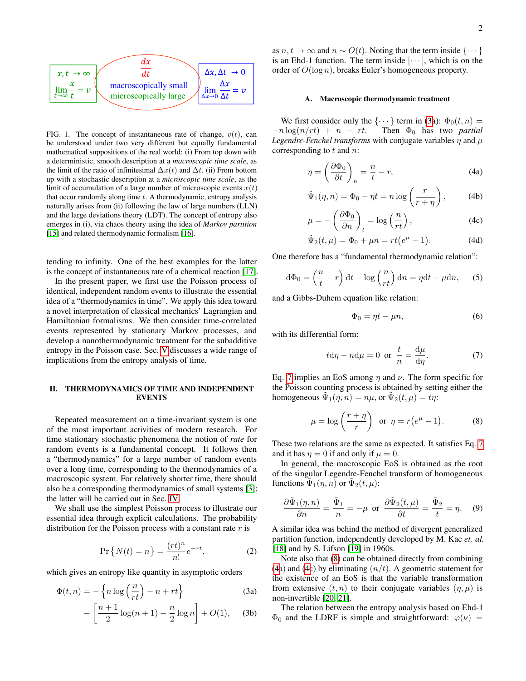

<span id="page-1-0"></span>FIG. 1. The concept of instantaneous rate of change,  $v(t)$ , can be understood under two very different but equally fundamental mathematical suppositions of the real world: (i) From top down with a deterministic, smooth description at a *macroscopic time scale*, as the limit of the ratio of infinitesimal  $\Delta x(t)$  and  $\Delta t$ . (ii) From bottom up with a stochastic description at a *microscopic time scale*, as the limit of accumulation of a large number of microscopic events  $x(t)$ that occur randomly along time  $t$ . A thermodynamic, entropy analysis naturally arises from (ii) following the law of large numbers (LLN) and the large deviations theory (LDT). The concept of entropy also emerges in (i), via chaos theory using the idea of *Markov partition* [\[15\]](#page-8-0) and related thermodynamic formalism [\[16\]](#page-8-1).

tending to infinity. One of the best examples for the latter is the concept of instantaneous rate of a chemical reaction [\[17\]](#page-8-2).

In the present paper, we first use the Poisson process of identical, independent random events to illustrate the essential idea of a "thermodynamics in time". We apply this idea toward a novel interpretation of classical mechanics' Lagrangian and Hamiltonian formalisms. We then consider time-correlated events represented by stationary Markov processes, and develop a nanothermodynamic treatment for the subadditive entropy in the Poisson case. Sec. [V](#page-6-0) discusses a wide range of implications from the entropy analysis of time.

# II. THERMODYNAMICS OF TIME AND INDEPENDENT EVENTS

Repeated measurement on a time-invariant system is one of the most important activities of modern research. For time stationary stochastic phenomena the notion of *rate* for random events is a fundamental concept. It follows then a "thermodynamics" for a large number of random events over a long time, corresponding to the thermodynamics of a macroscopic system. For relatively shorter time, there should also be a corresponding thermodynamics of small systems [\[3\]](#page-7-2); the latter will be carried out in Sec. [IV.](#page-5-0)

We shall use the simplest Poisson process to illustrate our essential idea through explicit calculations. The probability distribution for the Poisson process with a constant rate  $r$  is

$$
\Pr\left\{N(t) = n\right\} = \frac{(rt)^n}{n!}e^{-rt},\tag{2}
$$

which gives an entropy like quantity in asymptotic orders

$$
\Phi(t,n) = -\left\{ n \log\left(\frac{n}{rt}\right) - n + rt \right\}
$$
\n(3a)

$$
-\left[\frac{n+1}{2}\log(n+1) - \frac{n}{2}\log n\right] + O(1), \quad (3b)
$$

as  $n, t \to \infty$  and  $n \sim O(t)$ . Noting that the term inside  $\{\cdots\}$ is an Ehd-1 function. The term inside  $[\cdots]$ , which is on the order of  $O(\log n)$ , breaks Euler's homogeneous property.

## A. Macroscopic thermodynamic treatment

We first consider only the  $\{\cdots\}$  term in [\(3a](#page-1-1)):  $\Phi_0(t,n) =$  $-n \log(n/rt) + n - rt$ . Then  $\Phi_0$  has two *partial Legendre-Fenchel transforms* with conjugate variables  $\eta$  and  $\mu$ corresponding to  $t$  and  $n$ :

<span id="page-1-4"></span>
$$
\eta = \left(\frac{\partial \Phi_0}{\partial t}\right)_n = \frac{n}{t} - r,\tag{4a}
$$

$$
\tilde{\Psi}_1(\eta, n) = \Phi_0 - \eta t = n \log \left( \frac{r}{r + \eta} \right), \quad (4b)
$$

$$
\mu = -\left(\frac{\partial \Phi_0}{\partial n}\right)_t = \log\left(\frac{n}{rt}\right),\tag{4c}
$$

$$
\tilde{\Psi}_2(t,\mu) = \Phi_0 + \mu n = rt(e^{\mu} - 1).
$$
 (4d)

One therefore has a "fundamental thermodynamic relation":

<span id="page-1-6"></span>
$$
d\Phi_0 = \left(\frac{n}{t} - r\right)dt - \log\left(\frac{n}{rt}\right)dn = \eta dt - \mu dn,\qquad(5)
$$

and a Gibbs-Duhem equation like relation:

$$
\Phi_0 = \eta t - \mu n,\tag{6}
$$

with its differential form:

<span id="page-1-2"></span>
$$
t \mathrm{d}\eta - n \mathrm{d}\mu = 0 \text{ or } \frac{t}{n} = \frac{\mathrm{d}\mu}{\mathrm{d}\eta}.\tag{7}
$$

Eq. [7](#page-1-2) implies an EoS among  $\eta$  and  $\nu$ . The form specific for the Poisson counting process is obtained by setting either the homogeneous  $\tilde{\Psi}_1(\eta, n) = n\mu$ , or  $\tilde{\Psi}_2(t, \mu) = t\eta$ :

<span id="page-1-3"></span>
$$
\mu = \log\left(\frac{r+\eta}{r}\right) \text{ or } \eta = r(e^{\mu} - 1). \tag{8}
$$

These two relations are the same as expected. It satisfies Eq. [7](#page-1-2) and it has  $\eta = 0$  if and only if  $\mu = 0$ .

In general, the macroscopic EoS is obtained as the root of the singular Legendre-Fenchel transform of homogeneous functions  $\tilde{\Psi}_1(\eta, n)$  or  $\tilde{\Psi}_2(t, \mu)$ :

<span id="page-1-5"></span>
$$
\frac{\partial \tilde{\Psi}_1(\eta, n)}{\partial n} = \frac{\tilde{\Psi}_1}{n} = -\mu \text{ or } \frac{\partial \tilde{\Psi}_2(t, \mu)}{\partial t} = \frac{\tilde{\Psi}_2}{t} = \eta. \quad (9)
$$

A similar idea was behind the method of divergent generalized partition function, independently developed by M. Kac *et. al.* [\[18\]](#page-8-3) and by S. Lifson [\[19\]](#page-8-4) in 1960s.

<span id="page-1-1"></span>Note also that [\(8\)](#page-1-3) can be obtained directly from combining [\(4a](#page-1-4)) and [\(4c](#page-1-4)) by eliminating  $(n/t)$ . A geometric statement for the existence of an EoS is that the variable transformation from extensive  $(t, n)$  to their conjugate variables  $(\eta, \mu)$  is non-invertible [\[20,](#page-8-5) [21\]](#page-8-6).

The relation between the entropy analysis based on Ehd-1  $\Phi_0$  and the LDRF is simple and straightforward:  $\varphi(\nu)$  =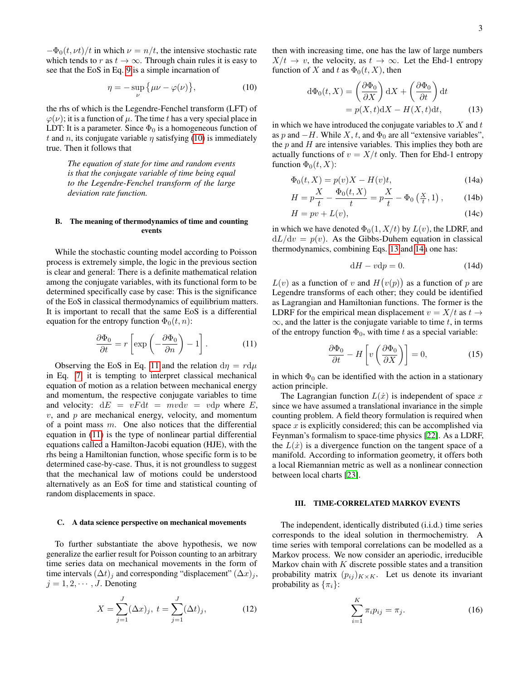$-\Phi_0(t, vt)/t$  in which  $\nu = n/t$ , the intensive stochastic rate which tends to r as  $t \to \infty$ . Through chain rules it is easy to see that the EoS in Eq. [9](#page-1-5) is a simple incarnation of

<span id="page-2-0"></span>
$$
\eta = -\sup_{\nu} \{\mu \nu - \varphi(\nu)\},\tag{10}
$$

the rhs of which is the Legendre-Fenchel transform (LFT) of  $\varphi(\nu)$ ; it is a function of  $\mu$ . The time t has a very special place in LDT: It is a parameter. Since  $\Phi_0$  is a homogeneous function of t and n, its conjugate variable  $\eta$  satisfying [\(10\)](#page-2-0) is immediately true. Then it follows that

*The equation of state for time and random events is that the conjugate variable of time being equal to the Legendre-Fenchel transform of the large deviation rate function.*

# B. The meaning of thermodynamics of time and counting events

While the stochastic counting model according to Poisson process is extremely simple, the logic in the previous section is clear and general: There is a definite mathematical relation among the conjugate variables, with its functional form to be determined specifically case by case: This is the significance of the EoS in classical thermodynamics of equilibrium matters. It is important to recall that the same EoS is a differential equation for the entropy function  $\Phi_0(t, n)$ :

<span id="page-2-1"></span>
$$
\frac{\partial \Phi_0}{\partial t} = r \left[ \exp \left( -\frac{\partial \Phi_0}{\partial n} \right) - 1 \right]. \tag{11}
$$

Observing the EoS in Eq. [11](#page-2-1) and the relation  $d\eta = r d\mu$ in Eq. [7,](#page-1-2) it is tempting to interpret classical mechanical equation of motion as a relation between mechanical energy and momentum, the respective conjugate variables to time and velocity:  $dE = vFdt = mvdv = vdp$  where E,  $v$ , and  $p$  are mechanical energy, velocity, and momentum of a point mass  $m$ . One also notices that the differential equation in [\(11\)](#page-2-1) is the type of nonlinear partial differential equations called a Hamilton-Jacobi equation (HJE), with the rhs being a Hamiltonian function, whose specific form is to be determined case-by-case. Thus, it is not groundless to suggest that the mechanical law of motions could be understood alternatively as an EoS for time and statistical counting of random displacements in space.

#### C. A data science perspective on mechanical movements

To further substantiate the above hypothesis, we now generalize the earlier result for Poisson counting to an arbitrary time series data on mechanical movements in the form of time intervals  $(\Delta t)_i$  and corresponding "displacement"  $(\Delta x)_i$ ,  $j = 1, 2, \cdots, J$ . Denoting

$$
X = \sum_{j=1}^{J} (\Delta x)_j, \ t = \sum_{j=1}^{J} (\Delta t)_j,
$$
 (12)

then with increasing time, one has the law of large numbers  $X/t \rightarrow v$ , the velocity, as  $t \rightarrow \infty$ . Let the Ehd-1 entropy function of X and t as  $\Phi_0(t, X)$ , then

<span id="page-2-2"></span>
$$
d\Phi_0(t, X) = \left(\frac{\partial \Phi_0}{\partial X}\right) dX + \left(\frac{\partial \Phi_0}{\partial t}\right) dt
$$
  
=  $p(X, t) dX - H(X, t) dt,$  (13)

in which we have introduced the conjugate variables to  $X$  and  $t$ as p and  $-H$ . While X, t, and  $\Phi_0$  are all "extensive variables", the  $p$  and  $H$  are intensive variables. This implies they both are actually functions of  $v = X/t$  only. Then for Ehd-1 entropy function  $\Phi_0(t, X)$ :

<span id="page-2-3"></span>
$$
\Phi_0(t, X) = p(v)X - H(v)t,\tag{14a}
$$

$$
H = p\frac{X}{t} - \frac{\Phi_0(t, X)}{t} = p\frac{X}{t} - \Phi_0\left(\frac{X}{t}, 1\right),\tag{14b}
$$

$$
H = pv + L(v),\tag{14c}
$$

in which we have denoted  $\Phi_0(1, X/t)$  by  $L(v)$ , the LDRF, and  $dL/dv = p(v)$ . As the Gibbs-Duhem equation in classical thermodynamics, combining Eqs. [13](#page-2-2) and [14a](#page-2-3) one has:

$$
dH - vdp = 0.
$$
 (14d)

 $L(v)$  as a function of v and  $H(v(p))$  as a function of p are Legendre transforms of each other; they could be identified as Lagrangian and Hamiltonian functions. The former is the LDRF for the empirical mean displacement  $v = X/t$  as  $t \to$  $\infty$ , and the latter is the conjugate variable to time t, in terms of the entropy function  $\Phi_0$ , with time t as a special variable:

<span id="page-2-4"></span>
$$
\frac{\partial \Phi_0}{\partial t} - H \left[ v \left( \frac{\partial \Phi_0}{\partial X} \right) \right] = 0,\tag{15}
$$

in which  $\Phi_0$  can be identified with the action in a stationary action principle.

The Lagrangian function  $L(x)$  is independent of space x since we have assumed a translational invariance in the simple counting problem. A field theory formulation is required when space  $x$  is explicitly considered; this can be accomplished via Feynman's formalism to space-time physics [\[22\]](#page-8-7). As a LDRF, the  $L(\dot{x})$  is a divergence function on the tangent space of a manifold. According to information geometry, it offers both a local Riemannian metric as well as a nonlinear connection between local charts [\[23\]](#page-8-8).

# III. TIME-CORRELATED MARKOV EVENTS

The independent, identically distributed (i.i.d.) time series corresponds to the ideal solution in thermochemistry. A time series with temporal correlations can be modelled as a Markov process. We now consider an aperiodic, irreducible Markov chain with  $K$  discrete possible states and a transition probability matrix  $(p_{ij})_{K \times K}$ . Let us denote its invariant probability as  $\{\pi_i\}$ :

$$
\sum_{i=1}^{K} \pi_i p_{ij} = \pi_j.
$$
 (16)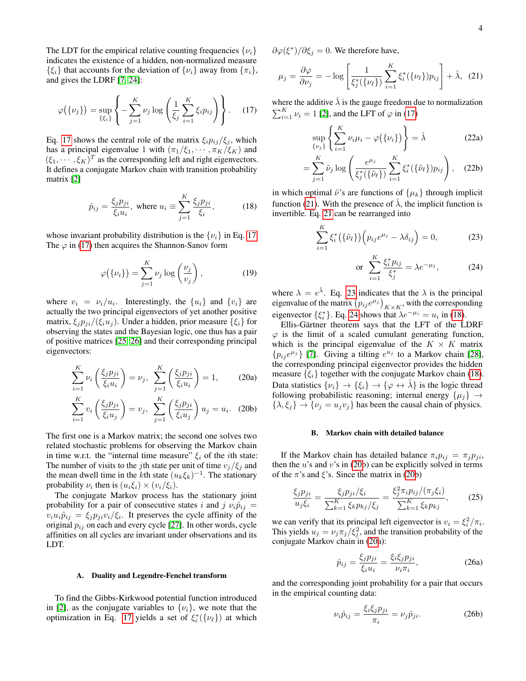The LDT for the empirical relative counting frequencies  $\{\nu_i\}$ indicates the existence of a hidden, non-normalized measure  $\{\xi_i\}$  that accounts for the deviation of  $\{\nu_i\}$  away from  $\{\pi_i\},$ and gives the LDRF [\[7,](#page-7-6) [24\]](#page-8-9):

<span id="page-3-0"></span>
$$
\varphi(\{\nu_j\}) = \sup_{\{\xi_i\}} \left\{-\sum_{j=1}^K \nu_j \log \left(\frac{1}{\xi_j} \sum_{i=1}^K \xi_i p_{ij}\right)\right\}.
$$
 (17)

Eq. [17](#page-3-0) shows the central role of the matrix  $\xi_i p_{ij}/\xi_j$ , which has a principal eigenvalue 1 with  $(\pi_1/\xi_1, \cdots, \pi_K/\xi_K)$  and  $(\xi_1, \dots, \xi_K)^T$  as the corresponding left and right eigenvectors. It defines a conjugate Markov chain with transition probability matrix [\[2\]](#page-7-1)

<span id="page-3-3"></span>
$$
\hat{p}_{ij} = \frac{\xi_j p_{ji}}{\xi_i u_i}, \text{ where } u_i \equiv \sum_{j=1}^K \frac{\xi_j p_{ji}}{\xi_i}, \quad (18)
$$

whose invariant probability distribution is the  $\{\nu_i\}$  in Eq. [17.](#page-3-0) The  $\varphi$  in [\(17\)](#page-3-0) then acquires the Shannon-Sanov form

$$
\varphi(\{\nu_i\}) = \sum_{j=1}^K \nu_j \log \left(\frac{\nu_j}{v_j}\right),\tag{19}
$$

where  $v_i = v_i/u_i$ . Interestingly, the  $\{u_i\}$  and  $\{v_i\}$  are actually the two principal eigenvectors of yet another positive matrix,  $\xi_i p_{ji}/(\xi_i u_j)$ . Under a hidden, prior measure  $\{\xi_i\}$  for observing the states and the Bayesian logic, one thus has a pair of positive matrices [\[25,](#page-8-10) [26\]](#page-8-11) and their corresponding principal eigenvectors:

<span id="page-3-4"></span>
$$
\sum_{i=1}^{K} \nu_i \left( \frac{\xi_j p_{ji}}{\xi_i u_i} \right) = \nu_j, \ \sum_{j=1}^{K} \left( \frac{\xi_j p_{ji}}{\xi_i u_i} \right) = 1, \tag{20a}
$$

$$
\sum_{i=1}^{K} v_i \left( \frac{\xi_j p_{ji}}{\xi_i u_j} \right) = v_j, \ \sum_{j=1}^{K} \left( \frac{\xi_j p_{ji}}{\xi_i u_j} \right) u_j = u_i. \tag{20b}
$$

The first one is a Markov matrix; the second one solves two related stochastic problems for observing the Markov chain in time w.r.t. the "internal time measure"  $\xi_i$  of the *i*th state: The number of visits to the *j*th state per unit of time  $v_j/\xi_j$  and the mean dwell time in the *k*th state  $(u_k \xi_k)^{-1}$ . The stationary probability  $\nu_i$  then is  $(u_i \xi_i) \times (v_i/\xi_i)$ .

The conjugate Markov process has the stationary joint probability for a pair of consecutive states i and j  $\nu_i \hat{p}_{ij}$  =  $v_i u_i \hat{p}_{ij} = \xi_j p_{ji} v_i / \xi_i$ . It preserves the cycle affinity of the original  $p_{ij}$  on each and every cycle [\[27\]](#page-8-12). In other words, cycle affinities on all cycles are invariant under observations and its LDT.

## A. Duality and Legendre-Fenchel transform

To find the Gibbs-Kirkwood potential function introduced in [\[2\]](#page-7-1), as the conjugate variables to  $\{\nu_i\}$ , we note that the optimization in Eq. [17](#page-3-0) yields a set of  $\xi_i^*(\{\nu_\ell\})$  at which

 $\partial \varphi(\xi^*)/\partial \xi_j = 0$ . We therefore have,

<span id="page-3-1"></span>
$$
\mu_j = \frac{\partial \varphi}{\partial \nu_j} = -\log \left[ \frac{1}{\xi_j^* (\{\nu_\ell\})} \sum_{i=1}^K \xi_i^* (\{\nu_\ell\}) p_{ij} \right] + \hat{\lambda}, \tag{21}
$$

where the additive  $\lambda$  is the gauge freedom due to normalization  $\sum_{i=1}^{K} \nu_i = 1$  [\[2\]](#page-7-1), and the LFT of  $\varphi$  in [\(17\)](#page-3-0)

$$
\sup_{\{\nu_j\}} \left\{ \sum_{i=1}^K \nu_i \mu_i - \varphi(\{\nu_i\}) \right\} = \hat{\lambda}
$$
 (22a)

$$
= \sum_{j=1}^{K} \tilde{\nu}_j \log \left( \frac{e^{\mu_j}}{\xi_j^*(\{\tilde{\nu}_\ell\})} \sum_{i=1}^{K} \xi_i^*(\{\tilde{\nu}_\ell\}) p_{ij} \right), \quad (22b)
$$

in which optimal  $\tilde{\nu}$ 's are functions of  $\{\mu_k\}$  through implicit function [\(21\)](#page-3-1). With the presence of  $\hat{\lambda}$ , the implicit function is invertible. Eq. [21](#page-3-1) can be rearranged into

<span id="page-3-2"></span>
$$
\sum_{i=1}^{K} \xi_i^* \left( \{ \tilde{\nu}_\ell \} \right) \left( p_{ij} e^{\mu_j} - \lambda \delta_{ij} \right) = 0, \tag{23}
$$

or 
$$
\sum_{i=1}^{K} \frac{\xi_i^* p_{ij}}{\xi_j^*} = \lambda e^{-\mu_j},
$$
 (24)

where  $\lambda = e^{\hat{\lambda}}$ . Eq. [23](#page-3-2) indicates that the  $\lambda$  is the principal eigenvalue of the matrix  $(p_{ij}e^{\mu_j})_{K\times K}$ , with the corresponding eigenvector  $\{\xi_i^*\}$ . Eq. [24](#page-3-2) shows that  $\lambda e^{-\mu_i} = u_i$  in [\(18\)](#page-3-3).

Ellis-Gärtner theorem says that the LFT of the LDRF  $\varphi$  is the limit of a scaled cumulant generating function, which is the principal eigenvalue of the  $K \times K$  matrix  $\{p_{ij}e^{\mu_j}\}\$  [\[7\]](#page-7-6). Giving a tilting  $e^{u_j}$  to a Markov chain [\[28\]](#page-8-13), the corresponding principal eigenvector provides the hidden measure  $\{\xi_i\}$  together with the conjugate Markov chain [\(18\)](#page-3-3). Data statistics  $\{\nu_i\} \rightarrow \{\xi_i\} \rightarrow \{\varphi \leftrightarrow \lambda\}$  is the logic thread following probabilistic reasoning; internal energy  $\{\mu_j\} \rightarrow$  $\{\lambda, \xi_j\} \rightarrow \{\nu_j = u_j v_j\}$  has been the causal chain of physics.

## B. Markov chain with detailed balance

If the Markov chain has detailed balance  $\pi_i p_{ij} = \pi_j p_{ji}$ , then the  $u$ 's and  $v$ 's in [\(20b](#page-3-4)) can be explicitly solved in terms of the  $\pi$ 's and  $\xi$ 's. Since the matrix in [\(20b](#page-3-4))

$$
\frac{\xi_j p_{ji}}{u_j \xi_i} = \frac{\xi_j p_{ji} / \xi_i}{\sum_{k=1}^K \xi_k p_{kj} / \xi_j} = \frac{\xi_j^2 \pi_i p_{ij} / (\pi_j \xi_i)}{\sum_{k=1}^K \xi_k p_{kj}},
$$
(25)

we can verify that its principal left eigenvector is  $v_i = \xi_i^2 / \pi_i$ . This yields  $u_j = \nu_j \pi_j / \xi_j^2$ , and the transition probability of the conjugate Markov chain in [\(20a](#page-3-4)):

<span id="page-3-5"></span>
$$
\hat{p}_{ij} = \frac{\xi_j p_{ji}}{\xi_i u_i} = \frac{\xi_i \xi_j p_{ji}}{\nu_i \pi_i},\tag{26a}
$$

and the corresponding joint probability for a pair that occurs in the empirical counting data:

$$
\nu_i \hat{p}_{ij} = \frac{\xi_i \xi_j p_{ji}}{\pi_i} = \nu_j \hat{p}_{ji}.
$$
 (26b)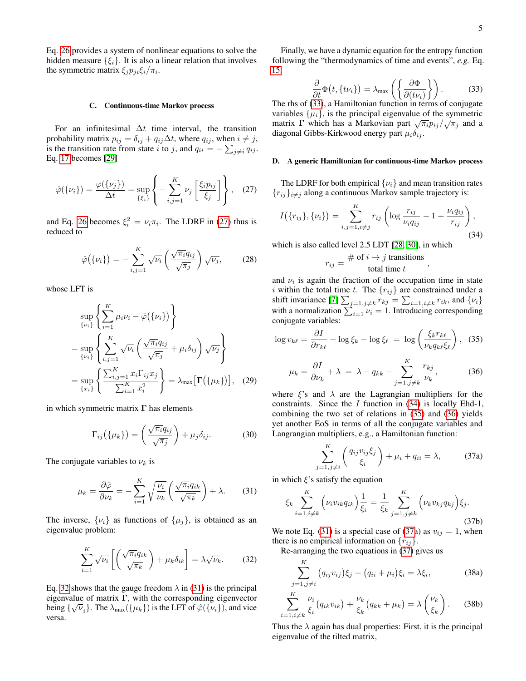Eq. [26](#page-3-5) provides a system of nonlinear equations to solve the hidden measure  $\{\xi_i\}$ . It is also a linear relation that involves the symmetric matrix  $\xi_j p_{ji} \xi_i / \pi_i$ .

### C. Continuous-time Markov process

For an infinitesimal  $\Delta t$  time interval, the transition probability matrix  $p_{ij} = \delta_{ij} + q_{ij} \Delta t$ , where  $q_{ij}$ , when  $i \neq j$ , is the transition rate from state i to j, and  $q_{ii} = -\sum_{j \neq i} q_{ij}$ . Eq. [17](#page-3-0) becomes [\[29\]](#page-8-14)

<span id="page-4-0"></span>
$$
\hat{\varphi}(\{\nu_i\}) = \frac{\varphi(\{\nu_j\})}{\Delta t} = \sup_{\{\xi_i\}} \left\{-\sum_{i,j=1}^K \nu_j \left[\frac{\xi_i p_{ij}}{\xi_j}\right]\right\}, \quad (27)
$$

and Eq. [26](#page-3-5) becomes  $\xi_i^2 = \nu_i \pi_i$ . The LDRF in [\(27\)](#page-4-0) thus is reduced to

<span id="page-4-7"></span>
$$
\hat{\varphi}(\{\nu_i\}) = -\sum_{i,j=1}^K \sqrt{\nu_i} \left(\frac{\sqrt{\pi_i} q_{ij}}{\sqrt{\pi_j}}\right) \sqrt{\nu_j},\tag{28}
$$

whose LFT is

$$
\sup_{\{\nu_i\}} \left\{ \sum_{i=1}^K \mu_i \nu_i - \hat{\varphi}(\{\nu_i\}) \right\}
$$
\n
$$
= \sup_{\{\nu_i\}} \left\{ \sum_{i,j=1}^K \sqrt{\nu_i} \left( \frac{\sqrt{\pi_i} q_{ij}}{\sqrt{\pi_j}} + \mu_i \delta_{ij} \right) \sqrt{\nu_j} \right\}
$$
\n
$$
= \sup_{\{x_i\}} \left\{ \frac{\sum_{i,j=1}^K x_i \Gamma_{ij} x_j}{\sum_{i=1}^K x_i^2} \right\} = \lambda_{\max} [\Gamma(\{\mu_k\})], \quad (29)
$$

in which symmetric matrix  $\Gamma$  has elements

$$
\Gamma_{ij}(\{\mu_k\}) = \left(\frac{\sqrt{\pi_i}q_{ij}}{\sqrt{\pi_j}}\right) + \mu_j \delta_{ij}.
$$
 (30)

The conjugate variables to  $\nu_k$  is

<span id="page-4-2"></span>
$$
\mu_k = \frac{\partial \hat{\varphi}}{\partial \nu_k} = -\sum_{i=1}^K \sqrt{\frac{\nu_i}{\nu_k}} \left( \frac{\sqrt{\pi_i} q_{ik}}{\sqrt{\pi_k}} \right) + \lambda. \tag{31}
$$

The inverse,  $\{\nu_i\}$  as functions of  $\{\mu_j\}$ , is obtained as an eigenvalue problem:

<span id="page-4-1"></span>
$$
\sum_{i=1}^{K} \sqrt{\nu_i} \left[ \left( \frac{\sqrt{\pi_i} q_{ik}}{\sqrt{\pi_k}} \right) + \mu_k \delta_{ik} \right] = \lambda \sqrt{\nu_k}.
$$
 (32)

Eq. [32](#page-4-1) shows that the gauge freedom  $\lambda$  in [\(31\)](#page-4-2) is the principal eigenvalue of matrix  $\Gamma$ , with the corresponding eigenvector being  $\{\sqrt{\nu_i}\}\$ . The  $\lambda_{\text{max}}(\{\mu_k\})$  is the LFT of  $\hat{\varphi}(\{\nu_i\})$ , and vice versa.

Finally, we have a dynamic equation for the entropy function following the "thermodynamics of time and events", *e.g.* Eq. [15,](#page-2-4)

<span id="page-4-3"></span>
$$
\frac{\partial}{\partial t}\Phi(t,\{t\nu_i\}) = \lambda_{\max}\left(\left\{\frac{\partial \Phi}{\partial (t\nu_i)}\right\}\right). \tag{33}
$$

The rhs of [\(33\)](#page-4-3), a Hamiltonian function in terms of conjugate variables  $\{\mu_i\}$ , is the principal eigenvalue of the symmetric variables  $\{\mu_i\}$ , is the principal eigenvalue of the symmetric matrix  $\Gamma$  which has a Markovian part  $\sqrt{\pi_i}p_{ij}/\sqrt{\pi_j}$  and a diagonal Gibbs-Kirkwood energy part  $\mu_i \delta_{ij}$ .

## <span id="page-4-8"></span>D. A generic Hamiltonian for continuous-time Markov process

The LDRF for both empirical  $\{v_i\}$  and mean transition rates  ${r_{ij}}_{i\neq j}$  along a continuous Markov sample trajectory is:

<span id="page-4-4"></span>
$$
I(\{r_{ij}\}, \{\nu_i\}) = \sum_{i,j=1, i \neq j}^{K} r_{ij} \left( \log \frac{r_{ij}}{\nu_i q_{ij}} - 1 + \frac{\nu_i q_{ij}}{r_{ij}} \right),\tag{34}
$$

which is also called level 2.5 LDT [\[28,](#page-8-13) [30\]](#page-8-15), in which

$$
r_{ij} = \frac{\text{# of } i \rightarrow j \text{ transitions}}{\text{total time } t},
$$

and  $\nu_i$  is again the fraction of the occupation time in state i within the total time t. The  ${r_{ij}}$  are constrained under a shift invariance [\[7\]](#page-7-6)  $\sum_{j=1, j \neq k} r_{kj} = \sum_{i=1, i \neq k} r_{ik}$ , and  $\{\nu_i\}$ with a normalization  $\sum_{i=1} \nu_i = 1$ . Introducing corresponding conjugate variables:

<span id="page-4-5"></span>
$$
\log v_{k\ell} = \frac{\partial I}{\partial r_{k\ell}} + \log \xi_k - \log \xi_\ell = \log \left( \frac{\xi_k r_{k\ell}}{\nu_k q_{k\ell} \xi_\ell} \right), \tag{35}
$$

$$
\mu_k = \frac{\partial I}{\partial \nu_k} + \lambda = \lambda - q_{kk} - \sum_{j=1, j \neq k}^{K} \frac{r_{kj}}{\nu_k},
$$
(36)

where  $\xi$ 's and  $\lambda$  are the Lagrangian multipliers for the constraints. Since the I function in [\(34\)](#page-4-4) is locally Ehd-1, combining the two set of relations in [\(35\)](#page-4-5) and [\(36\)](#page-4-5) yields yet another EoS in terms of all the conjugate variables and Langrangian multipliers, e.g., a Hamiltonian function:

<span id="page-4-6"></span>
$$
\sum_{j=1,j\neq i}^{K} \left( \frac{q_{ij}v_{ij}\xi_j}{\xi_i} \right) + \mu_i + q_{ii} = \lambda, \tag{37a}
$$

in which  $\xi$ 's satisfy the equation

$$
\xi_k \sum_{i=1, i \neq k}^{K} \left( \nu_i v_{ik} q_{ik} \right) \frac{1}{\xi_i} = \frac{1}{\xi_k} \sum_{j=1, j \neq k}^{K} \left( \nu_k v_{kj} q_{kj} \right) \xi_j.
$$
\n(37b)

We note Eq. [\(31\)](#page-4-2) is a special case of [\(37a](#page-4-6)) as  $v_{ij} = 1$ , when there is no empirical information on  $\{r_{ij}\}.$ 

Re-arranging the two equations in [\(37\)](#page-4-6) gives us

<span id="page-4-9"></span>
$$
\sum_{j=1, j \neq i}^{K} (q_{ij}v_{ij})\xi_j + (q_{ii} + \mu_i)\xi_i = \lambda \xi_i,
$$
 (38a)

$$
\sum_{i=1, i \neq k}^{K} \frac{\nu_i}{\xi_i} \big( q_{ik} v_{ik} \big) + \frac{\nu_k}{\xi_k} \big( q_{kk} + \mu_k \big) = \lambda \left( \frac{\nu_k}{\xi_k} \right). \tag{38b}
$$

Thus the  $\lambda$  again has dual properties: First, it is the principal eigenvalue of the tilted matrix,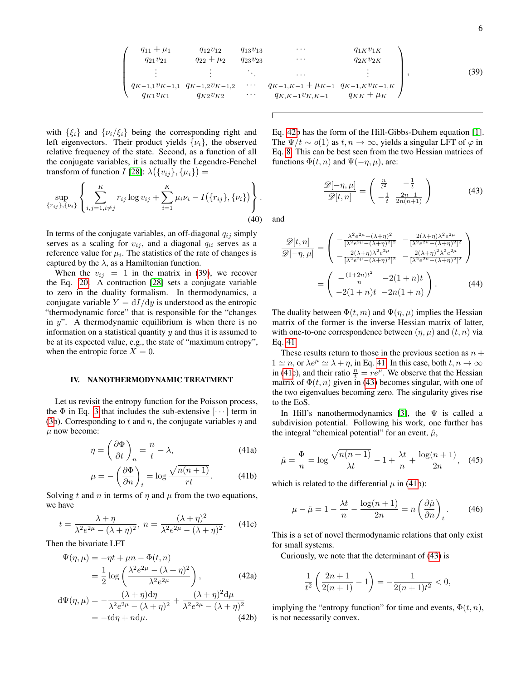<span id="page-5-1"></span>
$$
\begin{pmatrix}\nq_{11} + \mu_1 & q_{12}v_{12} & q_{13}v_{13} & \cdots & q_{1K}v_{1K} \\
q_{21}v_{21} & q_{22} + \mu_2 & q_{23}v_{23} & \cdots & q_{2K}v_{2K} \\
\vdots & \vdots & \ddots & \vdots & \vdots \\
q_{K-1,1}v_{K-1,1} & q_{K-1,2}v_{K-1,2} & \cdots & q_{K-1,K-1} + \mu_{K-1} & q_{K-1,K}v_{K-1,K} \\
q_{K1}v_{K1} & q_{K2}v_{K2} & \cdots & q_{K,K-1}v_{K,K-1} & q_{KK} + \mu_K\n\end{pmatrix},
$$
\n(39)

with  $\{\xi_i\}$  and  $\{\nu_i/\xi_i\}$  being the corresponding right and left eigenvectors. Their product yields  $\{v_i\}$ , the observed relative frequency of the state. Second, as a function of all the conjugate variables, it is actually the Legendre-Fenchel transform of function I [\[28\]](#page-8-13):  $\lambda(\lbrace v_{ij} \rbrace, \lbrace \mu_i \rbrace) =$ 

$$
\sup_{\{r_{ij}\},\{\nu_i\}} \left\{ \sum_{i,j=1,i\neq j}^{K} r_{ij} \log v_{ij} + \sum_{i=1}^{K} \mu_i \nu_i - I(\{r_{ij}\},\{\nu_i\}) \right\}.
$$
\n(40)

In terms of the conjugate variables, an off-diagonal  $q_{ij}$  simply serves as a scaling for  $v_{ij}$ , and a diagonal  $q_{ii}$  serves as a reference value for  $\mu_i$ . The statistics of the rate of changes is captured by the  $\lambda$ , as a Hamiltonian function.

When the  $v_{ij} = 1$  in the matrix in [\(39\)](#page-5-1), we recover the Eq. [20.](#page-3-4) A contraction [\[28\]](#page-8-13) sets a conjugate variable to zero in the duality formalism. In thermodynamics, a conjugate variable  $Y = dI/dy$  is understood as the entropic "thermodynamic force" that is responsible for the "changes in  $y$ ". A thermodynamic equilibrium is when there is no information on a statistical quantity  $y$  and thus it is assumed to be at its expected value, e.g., the state of "maximum entropy", when the entropic force  $X = 0$ .

# <span id="page-5-0"></span>IV. NANOTHERMODYNAMIC TREATMENT

Let us revisit the entropy function for the Poisson process, the  $\Phi$  in Eq. [3](#page-1-1) that includes the sub-extensive  $[\cdots]$  term in [\(3b](#page-1-1)). Corresponding to t and n, the conjugate variables  $\eta$  and  $\mu$  now become:

<span id="page-5-3"></span>
$$
\eta = \left(\frac{\partial \Phi}{\partial t}\right)_n = \frac{n}{t} - \lambda,\tag{41a}
$$

$$
\mu = -\left(\frac{\partial \Phi}{\partial n}\right)_t = \log \frac{\sqrt{n(n+1)}}{rt}.\tag{41b}
$$

Solving t and n in terms of  $\eta$  and  $\mu$  from the two equations, we have

$$
t = \frac{\lambda + \eta}{\lambda^2 e^{2\mu} - (\lambda + \eta)^2}, \ n = \frac{(\lambda + \eta)^2}{\lambda^2 e^{2\mu} - (\lambda + \eta)^2}.
$$
 (41c)

Then the bivariate LFT

<span id="page-5-2"></span>
$$
\Psi(\eta,\mu) = -\eta t + \mu n - \Phi(t,n)
$$

$$
= \frac{1}{2} \log \left( \frac{\lambda^2 e^{2\mu} - (\lambda + \eta)^2}{\lambda^2 e^{2\mu}} \right), \tag{42a}
$$

$$
d\Psi(\eta,\mu) = -\frac{(\lambda + \eta)d\eta}{\lambda^2 e^{2\mu} - (\lambda + \eta)^2} + \frac{(\lambda + \eta)^2 d\mu}{\lambda^2 e^{2\mu} - (\lambda + \eta)^2}
$$
  
=  $-t d\eta + n d\mu$ . (42b)

Eq. [42b](#page-5-2) has the form of the Hill-Gibbs-Duhem equation [\[1\]](#page-7-0). The  $\Psi/t \sim o(1)$  as  $t, n \to \infty$ , yields a singular LFT of  $\varphi$  in Eq. [8.](#page-1-3) This can be best seen from the two Hessian matrices of functions  $\Phi(t, n)$  and  $\Psi(-\eta, \mu)$ , are:

<span id="page-5-4"></span>
$$
\frac{\mathcal{D}[-\eta,\mu]}{\mathcal{D}[t,n]} = \begin{pmatrix} \frac{n}{t^2} & -\frac{1}{t} \\ -\frac{1}{t} & \frac{2n+1}{2n(n+1)} \end{pmatrix} \tag{43}
$$

and

 $\sqrt{ }$ 

$$
\frac{\mathscr{D}[t,n]}{\mathscr{D}[-\eta,\mu]} = \begin{pmatrix} -\frac{\lambda^2 e^{2\mu} + (\lambda + \eta)^2}{[\lambda^2 e^{2\mu} - (\lambda + \eta)^2]^2} & -\frac{2(\lambda + \eta)\lambda^2 e^{2\mu}}{[\lambda^2 e^{2\mu} - (\lambda + \eta)^2]^2} \\ -\frac{2(\lambda + \eta)\lambda^2 e^{2\mu}}{[\lambda^2 e^{2\mu} - (\lambda + \eta)^2]^2} & -\frac{2(\lambda + \eta)^2 \lambda^2 e^{2\mu}}{[\lambda^2 e^{2\mu} - (\lambda + \eta)^2]^2} \end{pmatrix}
$$

$$
= \begin{pmatrix} -\frac{(1+2n)t^2}{n} & -2(1+n)t \\ -2(1+n)t & -2n(1+n) \end{pmatrix} . \tag{44}
$$

The duality between  $\Phi(t, m)$  and  $\Psi(\eta, \mu)$  implies the Hessian matrix of the former is the inverse Hessian matrix of latter, with one-to-one correspondence between  $(\eta, \mu)$  and  $(t, n)$  via Eq. [41.](#page-5-3)

These results return to those in the previous section as  $n +$  $1 \simeq n$ , or  $\lambda e^{\mu} \simeq \lambda + \eta$ , in Eq. [41.](#page-5-3) In this case, both  $t, n \to \infty$ in [\(41c](#page-5-3)), and their ratio  $\frac{n}{t} = re^{\mu}$ . We observe that the Hessian matrix of  $\Phi(t, n)$  given in [\(43\)](#page-5-4) becomes singular, with one of the two eigenvalues becoming zero. The singularity gives rise to the EoS.

In Hill's nanothermodynamics [\[3\]](#page-7-2), the  $\Psi$  is called a subdivision potential. Following his work, one further has the integral "chemical potential" for an event,  $\hat{\mu}$ ,

$$
\hat{\mu} = \frac{\Phi}{n} = \log \frac{\sqrt{n(n+1)}}{\lambda t} - 1 + \frac{\lambda t}{n} + \frac{\log(n+1)}{2n}, \quad (45)
$$

which is related to the differential  $\mu$  in [\(41b](#page-5-3)):

$$
\mu - \hat{\mu} = 1 - \frac{\lambda t}{n} - \frac{\log(n+1)}{2n} = n \left( \frac{\partial \hat{\mu}}{\partial n} \right)_t.
$$
 (46)

This is a set of novel thermodynamic relations that only exist for small systems.

Curiously, we note that the determinant of [\(43\)](#page-5-4) is

$$
\frac{1}{t^2} \left( \frac{2n+1}{2(n+1)} - 1 \right) = -\frac{1}{2(n+1)t^2} < 0,
$$

implying the "entropy function" for time and events,  $\Phi(t, n)$ , is not necessarily convex.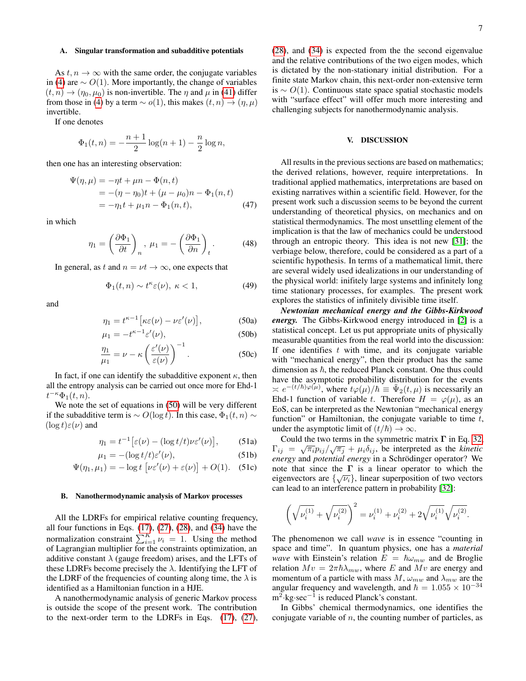As  $t, n \to \infty$  with the same order, the conjugate variables in [\(4\)](#page-1-4) are  $∼ O(1)$ . More importantly, the change of variables  $(t, n) \rightarrow (\eta_0, \mu_0)$  is non-invertible. The  $\eta$  and  $\mu$  in [\(41\)](#page-5-3) differ from those in [\(4\)](#page-1-4) by a term  $\sim o(1)$ , this makes  $(t, n) \rightarrow (\eta, \mu)$ invertible.

If one denotes

$$
\Phi_1(t, n) = -\frac{n+1}{2}\log(n+1) - \frac{n}{2}\log n,
$$

then one has an interesting observation:

$$
\Psi(\eta,\mu) = -\eta t + \mu n - \Phi(n,t) \n= -(\eta - \eta_0)t + (\mu - \mu_0)n - \Phi_1(n,t) \n= -\eta_1 t + \mu_1 n - \Phi_1(n,t),
$$
\n(47)

in which

$$
\eta_1 = \left(\frac{\partial \Phi_1}{\partial t}\right)_n, \ \mu_1 = -\left(\frac{\partial \Phi_1}{\partial n}\right)_t. \tag{48}
$$

In general, as t and  $n = \nu t \rightarrow \infty$ , one expects that

$$
\Phi_1(t,n) \sim t^{\kappa} \varepsilon(\nu), \ \kappa < 1,\tag{49}
$$

<span id="page-6-1"></span>and

$$
\eta_1 = t^{\kappa - 1} \left[ \kappa \varepsilon(\nu) - \nu \varepsilon'(\nu) \right],\tag{50a}
$$

$$
\mu_1 = -t^{\kappa - 1} \varepsilon'(\nu),\tag{50b}
$$

$$
\frac{\eta_1}{\mu_1} = \nu - \kappa \left(\frac{\varepsilon'(\nu)}{\varepsilon(\nu)}\right)^{-1}.\tag{50c}
$$

In fact, if one can identify the subadditive exponent  $\kappa$ , then all the entropy analysis can be carried out once more for Ehd-1  $t^{-\kappa}\Phi_1(t,n).$ 

We note the set of equations in [\(50\)](#page-6-1) will be very different if the subadditive term is  $\sim O(\log t)$ . In this case,  $\Phi_1(t, n)$  ∼  $(\log t) \varepsilon(\nu)$  and

$$
\eta_1 = t^{-1} \big[ \varepsilon(\nu) - (\log t/t) \nu \varepsilon'(\nu) \big], \qquad (51a)
$$

$$
\mu_1 = -(\log t/t)\varepsilon'(\nu),\tag{51b}
$$

$$
\Psi(\eta_1, \mu_1) = -\log t \left[ \nu \varepsilon'(\nu) + \varepsilon(\nu) \right] + O(1). \quad (51c)
$$

#### B. Nanothermodynamic analysis of Markov processes

All the LDRFs for empirical relative counting frequency, all four functions in Eqs.  $(17)$ ,  $(27)$ ,  $(28)$ , and  $(34)$  have the normalization constraint  $\sum_{i=1}^{K} \nu_i = 1$ . Using the method of Lagrangian multiplier for the constraints optimization, an additive constant  $\lambda$  (gauge freedom) arises, and the LFTs of these LDRFs become precisely the  $\lambda$ . Identifying the LFT of the LDRF of the frequencies of counting along time, the  $\lambda$  is identified as a Hamiltonian function in a HJE.

A nanothermodynamic analysis of generic Markov process is outside the scope of the present work. The contribution to the next-order term to the LDRFs in Eqs. [\(17\)](#page-3-0), [\(27\)](#page-4-0), [\(28\)](#page-4-7), and [\(34\)](#page-4-4) is expected from the the second eigenvalue and the relative contributions of the two eigen modes, which is dictated by the non-stationary initial distribution. For a finite state Markov chain, this next-order non-extensive term is  $∼ O(1)$ . Continuous state space spatial stochastic models with "surface effect" will offer much more interesting and challenging subjects for nanothermodynamic analysis.

# <span id="page-6-0"></span>V. DISCUSSION

All results in the previous sections are based on mathematics; the derived relations, however, require interpretations. In traditional applied mathematics, interpretations are based on existing narratives within a scientific field. However, for the present work such a discussion seems to be beyond the current understanding of theoretical physics, on mechanics and on statistical thermodynamics. The most unsettling element of the implication is that the law of mechanics could be understood through an entropic theory. This idea is not new [\[31\]](#page-8-16); the verbiage below, therefore, could be considered as a part of a scientific hypothesis. In terms of a mathematical limit, there are several widely used idealizations in our understanding of the physical world: inifitely large systems and infinitely long time stationary processes, for examples. The present work explores the statistics of infinitely divisible time itself.

*Newtonian mechanical energy and the Gibbs-Kirkwood energy.* The Gibbs-Kirkwood energy introduced in [\[2\]](#page-7-1) is a statistical concept. Let us put appropriate units of physically measurable quantities from the real world into the discussion: If one identifies  $t$  with time, and its conjugate variable with "mechanical energy", then their product has the same dimension as  $\hbar$ , the reduced Planck constant. One thus could have the asymptotic probability distribution for the events  $\alpha \approx e^{-(t/\hbar)\varphi(\mu)}$ , where  $t\varphi(\mu)/\hbar \equiv \tilde{\Psi}_2(t,\mu)$  is necessarily an Ehd-1 function of variable t. Therefore  $H = \varphi(\mu)$ , as an EoS, can be interpreted as the Newtonian "mechanical energy function" or Hamiltonian, the conjugate variable to time  $t$ , under the asymptotic limit of  $(t/\hbar) \rightarrow \infty$ .

Could the two terms in the symmetric matrix  $\Gamma$  in Eq. [32,](#page-4-1)  $Γ_{ij} = \sqrt{\pi_i} p_{ij} / \sqrt{\pi_j} + \mu_i \delta_{ij}$ , be interpreted as the *kinetic energy* and *potential energy* in a Schrödinger operator? We note that since the  $\Gamma$  is a linear operator to which the eigenvectors are  $\{\sqrt{\nu_i}\}\$ , linear superposition of two vectors can lead to an interference pattern in probability [\[32\]](#page-8-17):

$$
\left(\sqrt{\nu_i^{(1)}} + \sqrt{\nu_i^{(2)}}\right)^2 = \nu_i^{(1)} + \nu_i^{(2)} + 2\sqrt{\nu_i^{(1)}}\sqrt{\nu_i^{(2)}}.
$$

The phenomenon we call *wave* is in essence "counting in space and time". In quantum physics, one has a *material wave* with Einstein's relation  $E = \hbar \omega_{mw}$  and de Broglie relation  $Mv = 2\pi\hbar\lambda_{mw}$ , where E and  $Mv$  are energy and momentum of a particle with mass  $M$ ,  $\omega_{mw}$  and  $\lambda_{mw}$  are the angular frequency and wavelength, and  $\hbar = 1.055 \times 10^{-34}$ m<sup>2</sup>⋅kg⋅sec<sup>-1</sup> is reduced Planck's constant.

In Gibbs' chemical thermodynamics, one identifies the conjugate variable of  $n$ , the counting number of particles, as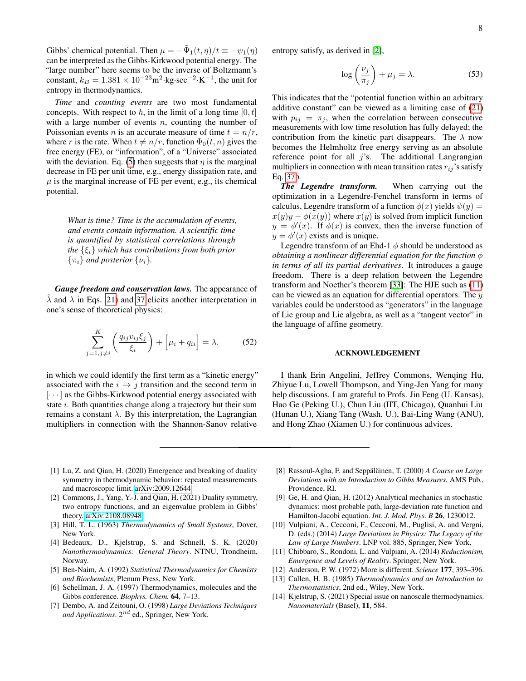Gibbs' chemical potential. Then  $\mu = -\tilde{\Psi}_1(t,\eta)/t \equiv -\psi_1(\eta)$ can be interpreted as the Gibbs-Kirkwood potential energy. The "large number" here seems to be the inverse of Boltzmann's constant,  $k_B = 1.381 \times 10^{-23} \text{m}^2 \cdot \text{kg} \cdot \text{sec}^{-2} \cdot \text{K}^{-1}$ , the unit for entropy in thermodynamics.

*Time* and *counting events* are two most fundamental concepts. With respect to  $\hbar$ , in the limit of a long time  $[0, t]$ with a large number of events  $n$ , counting the number of Poissonian events *n* is an accurate measure of time  $t = n/r$ , where r is the rate. When  $t \neq n/r$ , function  $\Phi_0(t, n)$  gives the free energy (FE), or "information", of a "Universe" associated with the deviation. Eq. [\(5\)](#page-1-6) then suggests that  $\eta$  is the marginal decrease in FE per unit time, e.g., energy dissipation rate, and  $\mu$  is the marginal increase of FE per event, e.g., its chemical potential.

*What is time? Time is the accumulation of events, and events contain information. A scientific time is quantified by statistical correlations through the*  $\{\xi_i\}$  *which has contributions from both prior*  $\{\pi_i\}$  *and posterior*  $\{\nu_i\}$ *.* 

*Gauge freedom and conservation laws.* The appearance of  $\lambda$  and  $\lambda$  in Eqs. [21\)](#page-3-1) and [37](#page-4-6) elicits another interpretation in one's sense of theoretical physics:

$$
\sum_{j=1,j\neq i}^{K} \left( \frac{q_{ij}v_{ij}\xi_j}{\xi_i} \right) + \left[ \mu_i + q_{ii} \right] = \lambda. \tag{52}
$$

in which we could identify the first term as a "kinetic energy" associated with the  $i \rightarrow j$  transition and the second term in  $[\cdots]$  as the Gibbs-Kirkwood potential energy associated with state *i*. Both quantities change along a trajectory but their sum remains a constant  $\lambda$ . By this interpretation, the Lagrangian multipliers in connection with the Shannon-Sanov relative

entropy satisfy, as derived in [\[2\]](#page-7-1),

$$
\log\left(\frac{\nu_j}{\pi_j}\right) + \mu_j = \lambda. \tag{53}
$$

This indicates that the "potential function within an arbitrary additive constant" can be viewed as a limiting case of [\(21\)](#page-3-1) with  $p_{ij} = \pi_j$ , when the correlation between consecutive measurements with low time resolution has fully delayed; the contribution from the kinetic part disappears. The  $\lambda$  now becomes the Helmholtz free energy serving as an absolute reference point for all  $j$ 's. The additional Langrangian multipliers in connection with mean transition rates  $r_{ij}$ 's satisfy Eq. [37b](#page-4-6).

*The Legendre transform.* When carrying out the optimization in a Legendre-Fenchel transform in terms of calculus, Legendre transform of a function  $\phi(x)$  yields  $\psi(y) =$  $x(y)y - \phi(x(y))$  where  $x(y)$  is solved from implicit function  $y = \phi'(x)$ . If  $\phi(x)$  is convex, then the inverse function of  $y = \phi'(x)$  exists and is unique.

Legendre transform of an Ehd-1  $\phi$  should be understood as *obtaining a nonlinear differential equation for the function* φ *in terms of all its partial derivatives*. It introduces a gauge freedom. There is a deep relation between the Legendre transform and Noether's theorem [\[33\]](#page-8-18): The HJE such as [\(11\)](#page-2-1) can be viewed as an equation for differential operators. The  $y$ variables could be understood as "generators" in the language of Lie group and Lie algebra, as well as a "tangent vector" in the language of affine geometry.

## ACKNOWLEDGEMENT

I thank Erin Angelini, Jeffrey Commons, Wenqing Hu, Zhiyue Lu, Lowell Thompson, and Ying-Jen Yang for many help discussions. I am grateful to Profs. Jin Feng (U. Kansas), Hao Ge (Peking U.), Chun Liu (IIT, Chicago), Quanhui Liu (Hunan U.), Xiang Tang (Wash. U.), Bai-Ling Wang (ANU), and Hong Zhao (Xiamen U.) for continuous advices.

- <span id="page-7-0"></span>[1] Lu, Z. and Qian, H. (2020) Emergence and breaking of duality symmetry in thermodynamic behavior: repeated measurements and macroscopic limit. [arXiv:2009.12644.](http://arxiv.org/abs/2009.12644)
- <span id="page-7-1"></span>[2] Commons, J., Yang, Y.-J. and Qian, H. (2021) Duality symmetry, two entropy functions, and an eigenvalue problem in Gibbs' theory. [arXiv:2108.08948.](http://arxiv.org/abs/2108.08948)
- <span id="page-7-2"></span>[3] Hill, T. L. (1963) *Thermodynamics of Small Systems*, Dover, New York.
- <span id="page-7-3"></span>[4] Bedeaux, D., Kjelstrup, S. and Schnell, S. K. (2020) *Nanothermodynamics: General Theory*. NTNU, Trondheim, Norway.
- <span id="page-7-4"></span>[5] Ben-Naim, A. (1992) *Statistical Thermodynamics for Chemists and Biochemists*, Plenum Press, New York.
- <span id="page-7-5"></span>[6] Schellman, J. A. (1997) Thermodynamics, molecules and the Gibbs conference. *Biophys. Chem.* 64, 7–13.
- <span id="page-7-6"></span>[7] Dembo, A. and Zeitouni, O. (1998) *Large Deviations Techniques* and Applications. 2<sup>nd</sup> ed., Springer, New York.
- [8] Rassoul-Agha, F. and Seppäläinen, T. (2000) A Course on Large *Deviations with an Introduction to Gibbs Measures*, AMS Pub., Providence, RI.
- [9] Ge, H. and Qian, H. (2012) Analytical mechanics in stochastic dynamics: most probable path, large-deviation rate function and Hamilton-Jacobi equation. *Int. J. Mod. Phys. B* 26, 1230012.
- <span id="page-7-7"></span>[10] Vulpiani, A., Cecconi, F., Cecconi, M., Puglisi, A. and Vergni, D. (eds.) (2014) *Large Deviations in Physics: The Legacy of the Law of Large Numbers*. LNP vol. 885, Springer, New York.
- <span id="page-7-8"></span>[11] Chibbaro, S., Rondoni, L. and Vulpiani, A. (2014) *Reductionism, Emergence and Levels of Reality*. Springer, New York.
- <span id="page-7-9"></span>[12] Anderson, P. W. (1972) More is different. *Science* 177, 393–396.
- <span id="page-7-10"></span>[13] Callen, H. B. (1985) *Thermodynamics and an Introduction to Thermostatistics*, 2nd ed., Wiley, New York.
- <span id="page-7-11"></span>[14] Kjelstrup, S. (2021) Special issue on nanoscale thermodynamics. *Nanomaterials* (Basel), 11, 584.